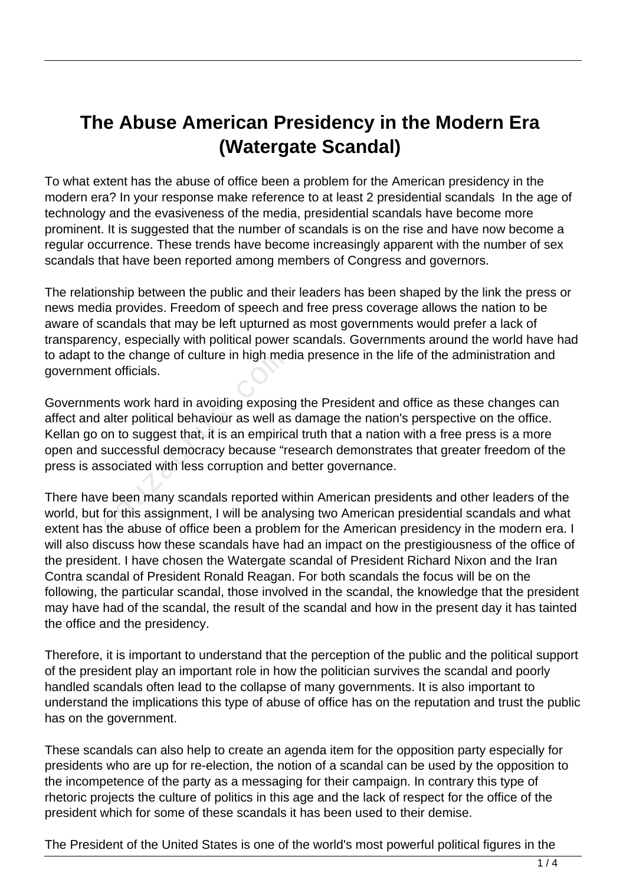## **The Abuse American Presidency in the Modern Era (Watergate Scandal)**

To what extent has the abuse of office been a problem for the American presidency in the modern era? In your response make reference to at least 2 presidential scandals In the age of technology and the evasiveness of the media, presidential scandals have become more prominent. It is suggested that the number of scandals is on the rise and have now become a regular occurrence. These trends have become increasingly apparent with the number of sex scandals that have been reported among members of Congress and governors.

The relationship between the public and their leaders has been shaped by the link the press or news media provides. Freedom of speech and free press coverage allows the nation to be aware of scandals that may be left upturned as most governments would prefer a lack of transparency, especially with political power scandals. Governments around the world have had to adapt to the change of culture in high media presence in the life of the administration and government officials.

Governments work hard in avoiding exposing the President and office as these changes can affect and alter political behaviour as well as damage the nation's perspective on the office. Kellan go on to suggest that, it is an empirical truth that a nation with a free press is a more open and successful democracy because "research demonstrates that greater freedom of the press is associated with less corruption and better governance. From the change of culture in high med<br>to officials.<br>Ints work hard in avoiding exposin<br>alter political behaviour as well as<br>on to suggest that, it is an empirica<br>successful democracy because "re<br>sociated with less corrupt

There have been many scandals reported within American presidents and other leaders of the world, but for this assignment, I will be analysing two American presidential scandals and what extent has the abuse of office been a problem for the American presidency in the modern era. I will also discuss how these scandals have had an impact on the prestigiousness of the office of the president. I have chosen the Watergate scandal of President Richard Nixon and the Iran Contra scandal of President Ronald Reagan. For both scandals the focus will be on the following, the particular scandal, those involved in the scandal, the knowledge that the president may have had of the scandal, the result of the scandal and how in the present day it has tainted the office and the presidency.

Therefore, it is important to understand that the perception of the public and the political support of the president play an important role in how the politician survives the scandal and poorly handled scandals often lead to the collapse of many governments. It is also important to understand the implications this type of abuse of office has on the reputation and trust the public has on the government.

These scandals can also help to create an agenda item for the opposition party especially for presidents who are up for re-election, the notion of a scandal can be used by the opposition to the incompetence of the party as a messaging for their campaign. In contrary this type of rhetoric projects the culture of politics in this age and the lack of respect for the office of the president which for some of these scandals it has been used to their demise.

The President of the United States is one of the world's most powerful political figures in the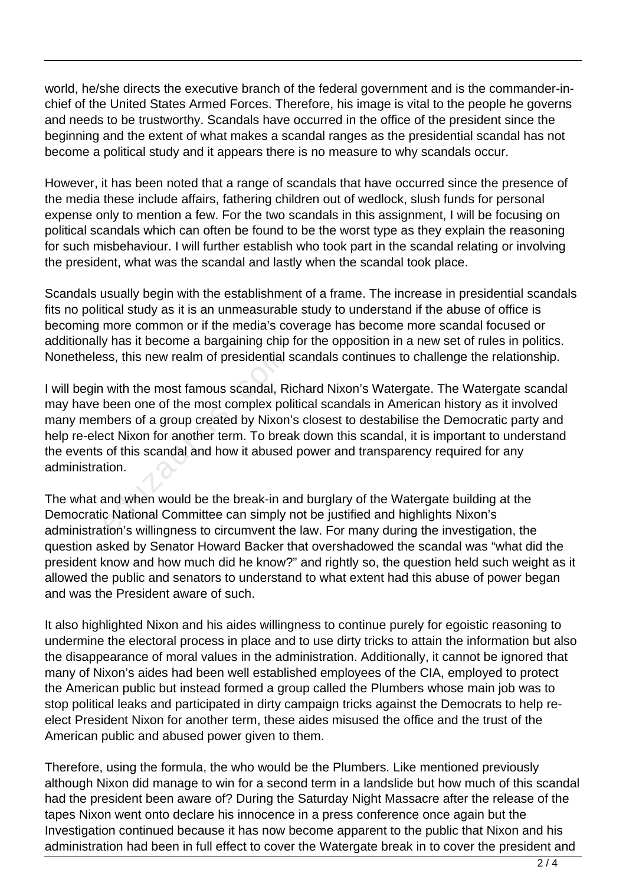world, he/she directs the executive branch of the federal government and is the commander-inchief of the United States Armed Forces. Therefore, his image is vital to the people he governs and needs to be trustworthy. Scandals have occurred in the office of the president since the beginning and the extent of what makes a scandal ranges as the presidential scandal has not become a political study and it appears there is no measure to why scandals occur.

However, it has been noted that a range of scandals that have occurred since the presence of the media these include affairs, fathering children out of wedlock, slush funds for personal expense only to mention a few. For the two scandals in this assignment, I will be focusing on political scandals which can often be found to be the worst type as they explain the reasoning for such misbehaviour. I will further establish who took part in the scandal relating or involving the president, what was the scandal and lastly when the scandal took place.

Scandals usually begin with the establishment of a frame. The increase in presidential scandals fits no political study as it is an unmeasurable study to understand if the abuse of office is becoming more common or if the media's coverage has become more scandal focused or additionally has it become a bargaining chip for the opposition in a new set of rules in politics. Nonetheless, this new realm of presidential scandals continues to challenge the relationship.

I will begin with the most famous scandal, Richard Nixon's Watergate. The Watergate scandal may have been one of the most complex political scandals in American history as it involved many members of a group created by Nixon's closest to destabilise the Democratic party and help re-elect Nixon for another term. To break down this scandal, it is important to understand the events of this scandal and how it abused power and transparency required for any administration. ss, this new realm of presidential s<br>with the most famous scandal, Ri<br>been one of the most complex pol<br>nbers of a group created by Nixon<br>cot Nixon for another term. To brea<br>of this scandal and how it abused<br>tion.<br>and when

The what and when would be the break-in and burglary of the Watergate building at the Democratic National Committee can simply not be justified and highlights Nixon's administration's willingness to circumvent the law. For many during the investigation, the question asked by Senator Howard Backer that overshadowed the scandal was "what did the president know and how much did he know?" and rightly so, the question held such weight as it allowed the public and senators to understand to what extent had this abuse of power began and was the President aware of such.

It also highlighted Nixon and his aides willingness to continue purely for egoistic reasoning to undermine the electoral process in place and to use dirty tricks to attain the information but also the disappearance of moral values in the administration. Additionally, it cannot be ignored that many of Nixon's aides had been well established employees of the CIA, employed to protect the American public but instead formed a group called the Plumbers whose main job was to stop political leaks and participated in dirty campaign tricks against the Democrats to help reelect President Nixon for another term, these aides misused the office and the trust of the American public and abused power given to them.

Therefore, using the formula, the who would be the Plumbers. Like mentioned previously although Nixon did manage to win for a second term in a landslide but how much of this scandal had the president been aware of? During the Saturday Night Massacre after the release of the tapes Nixon went onto declare his innocence in a press conference once again but the Investigation continued because it has now become apparent to the public that Nixon and his administration had been in full effect to cover the Watergate break in to cover the president and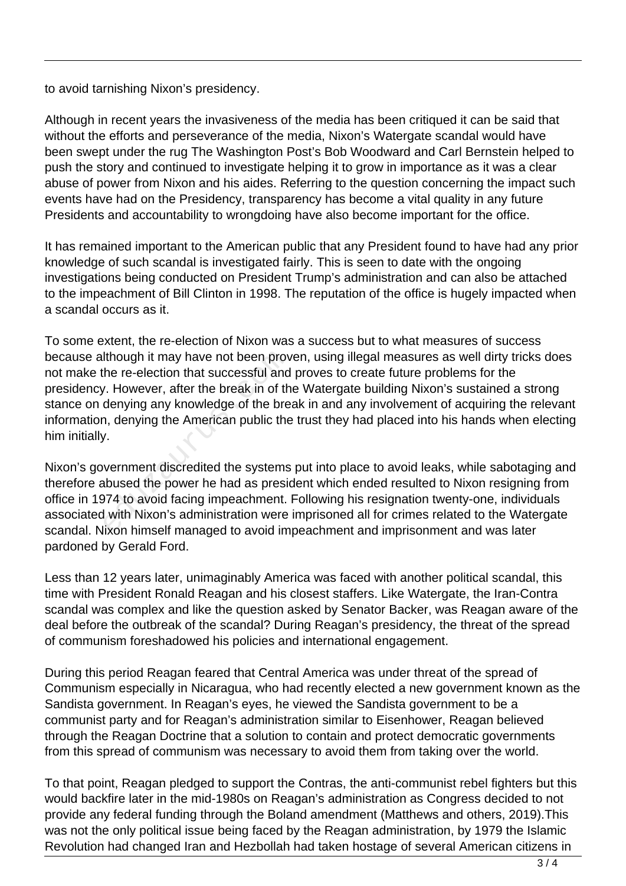to avoid tarnishing Nixon's presidency.

Although in recent years the invasiveness of the media has been critiqued it can be said that without the efforts and perseverance of the media, Nixon's Watergate scandal would have been swept under the rug The Washington Post's Bob Woodward and Carl Bernstein helped to push the story and continued to investigate helping it to grow in importance as it was a clear abuse of power from Nixon and his aides. Referring to the question concerning the impact such events have had on the Presidency, transparency has become a vital quality in any future Presidents and accountability to wrongdoing have also become important for the office.

It has remained important to the American public that any President found to have had any prior knowledge of such scandal is investigated fairly. This is seen to date with the ongoing investigations being conducted on President Trump's administration and can also be attached to the impeachment of Bill Clinton in 1998. The reputation of the office is hugely impacted when a scandal occurs as it.

To some extent, the re-election of Nixon was a success but to what measures of success because although it may have not been proven, using illegal measures as well dirty tricks does not make the re-election that successful and proves to create future problems for the presidency. However, after the break in of the Watergate building Nixon's sustained a strong stance on denying any knowledge of the break in and any involvement of acquiring the relevant information, denying the American public the trust they had placed into his hands when electing him initially. Ithough it may have not been prov<br>
the re-election that successful and<br>
the re-election that successful and<br>
the denying any knowledge of the bre<br>
in, denying the American public the<br>
the power here is a president<br>
there i

Nixon's government discredited the systems put into place to avoid leaks, while sabotaging and therefore abused the power he had as president which ended resulted to Nixon resigning from office in 1974 to avoid facing impeachment. Following his resignation twenty-one, individuals associated with Nixon's administration were imprisoned all for crimes related to the Watergate scandal. Nixon himself managed to avoid impeachment and imprisonment and was later pardoned by Gerald Ford.

Less than 12 years later, unimaginably America was faced with another political scandal, this time with President Ronald Reagan and his closest staffers. Like Watergate, the Iran-Contra scandal was complex and like the question asked by Senator Backer, was Reagan aware of the deal before the outbreak of the scandal? During Reagan's presidency, the threat of the spread of communism foreshadowed his policies and international engagement.

During this period Reagan feared that Central America was under threat of the spread of Communism especially in Nicaragua, who had recently elected a new government known as the Sandista government. In Reagan's eyes, he viewed the Sandista government to be a communist party and for Reagan's administration similar to Eisenhower, Reagan believed through the Reagan Doctrine that a solution to contain and protect democratic governments from this spread of communism was necessary to avoid them from taking over the world.

To that point, Reagan pledged to support the Contras, the anti-communist rebel fighters but this would backfire later in the mid-1980s on Reagan's administration as Congress decided to not provide any federal funding through the Boland amendment (Matthews and others, 2019).This was not the only political issue being faced by the Reagan administration, by 1979 the Islamic Revolution had changed Iran and Hezbollah had taken hostage of several American citizens in